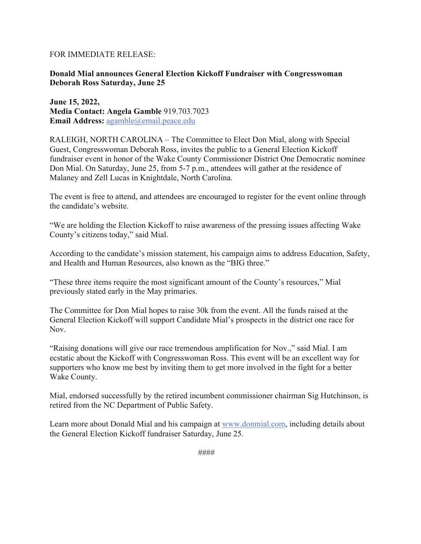## FOR IMMEDIATE RELEASE:

## **Donald Mial announces General Election Kickoff Fundraiser with Congresswoman Deborah Ross Saturday, June 25**

**June 15, 2022, Media Contact: Angela Gamble** 919.703.7023 **Email Address:** agamble@email.peace.edu

RALEIGH, NORTH CAROLINA – The Committee to Elect Don Mial, along with Special Guest, Congresswoman Deborah Ross, invites the public to a General Election Kickoff fundraiser event in honor of the Wake County Commissioner District One Democratic nominee Don Mial. On Saturday, June 25, from 5-7 p.m., attendees will gather at the residence of Malaney and Zell Lucas in Knightdale, North Carolina.

The event is free to attend, and attendees are encouraged to register for the event online through the candidate's website.

"We are holding the Election Kickoff to raise awareness of the pressing issues affecting Wake County's citizens today," said Mial.

According to the candidate's mission statement, his campaign aims to address Education, Safety, and Health and Human Resources, also known as the "BIG three."

"These three items require the most significant amount of the County's resources," Mial previously stated early in the May primaries.

The Committee for Don Mial hopes to raise 30k from the event. All the funds raised at the General Election Kickoff will support Candidate Mial's prospects in the district one race for Nov.

"Raising donations will give our race tremendous amplification for Nov.," said Mial. I am ecstatic about the Kickoff with Congresswoman Ross. This event will be an excellent way for supporters who know me best by inviting them to get more involved in the fight for a better Wake County.

Mial, endorsed successfully by the retired incumbent commissioner chairman Sig Hutchinson, is retired from the NC Department of Public Safety.

Learn more about Donald Mial and his campaign at www.donmial.com, including details about the General Election Kickoff fundraiser Saturday, June 25.

####